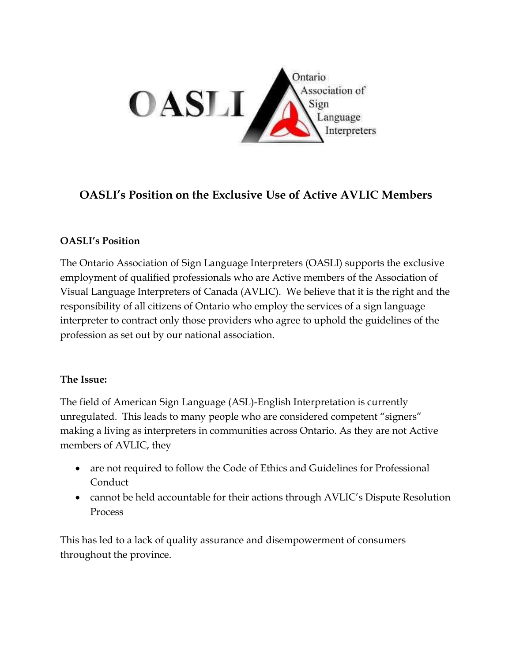

## **OASLI's Position on the Exclusive Use of Active AVLIC Members**

## **OASLI's Position**

The Ontario Association of Sign Language Interpreters (OASLI) supports the exclusive employment of qualified professionals who are Active members of the Association of Visual Language Interpreters of Canada (AVLIC). We believe that it is the right and the responsibility of all citizens of Ontario who employ the services of a sign language interpreter to contract only those providers who agree to uphold the guidelines of the profession as set out by our national association.

## **The Issue:**

The field of American Sign Language (ASL)-English Interpretation is currently unregulated. This leads to many people who are considered competent "signers" making a living as interpreters in communities across Ontario. As they are not Active members of AVLIC, they

- are not required to follow the Code of Ethics and Guidelines for Professional Conduct
- cannot be held accountable for their actions through AVLIC's Dispute Resolution Process

This has led to a lack of quality assurance and disempowerment of consumers throughout the province.